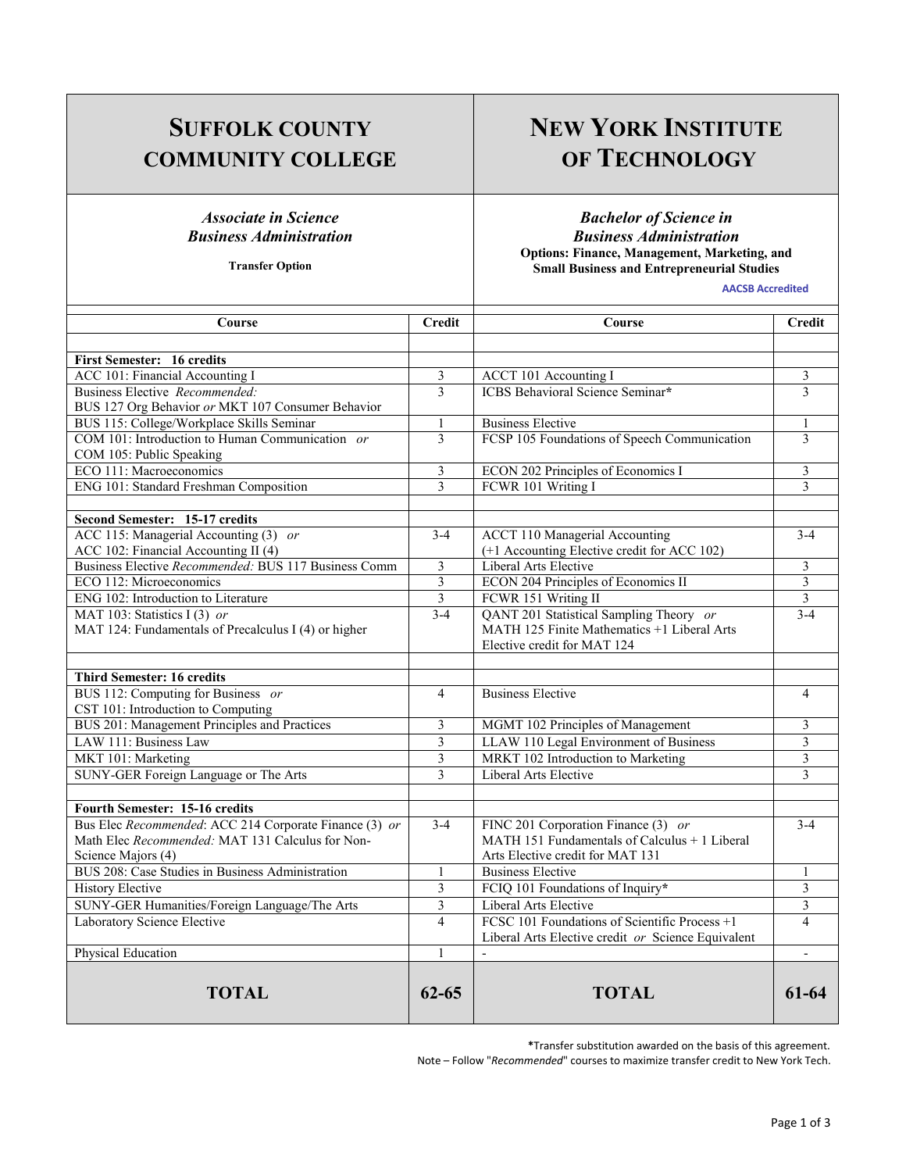## **SUFFOLK COUNTY COMMUNITY COLLEGE**

#### *Associate in Science Business Administration*

**Transfer Option**

# **NEW YORK INSTITUTE OF TECHNOLOGY**

*Bachelor of Science in Business Administration*  **Options: Finance, Management, Marketing, and Small Business and Entrepreneurial Studies** 

**AACSB Accredited**

| Course                                                 | Credit         | Course                                             | <b>Credit</b>            |
|--------------------------------------------------------|----------------|----------------------------------------------------|--------------------------|
|                                                        |                |                                                    |                          |
| <b>First Semester: 16 credits</b>                      |                |                                                    |                          |
| ACC 101: Financial Accounting I                        | 3              | <b>ACCT 101 Accounting I</b>                       | 3                        |
| Business Elective Recommended:                         | $\mathcal{E}$  | <b>ICBS</b> Behavioral Science Seminar*            | $\mathcal{E}$            |
| BUS 127 Org Behavior or MKT 107 Consumer Behavior      |                |                                                    |                          |
| BUS 115: College/Workplace Skills Seminar              | $\mathbf{1}$   | <b>Business Elective</b>                           | 1                        |
| COM 101: Introduction to Human Communication or        | $\mathcal{E}$  | FCSP 105 Foundations of Speech Communication       | $\mathcal{E}$            |
| COM 105: Public Speaking                               |                |                                                    |                          |
| ECO 111: Macroeconomics                                | 3              | ECON 202 Principles of Economics I                 | 3                        |
| ENG 101: Standard Freshman Composition                 | 3              | FCWR 101 Writing I                                 | 3                        |
|                                                        |                |                                                    |                          |
| Second Semester: 15-17 credits                         |                |                                                    |                          |
| ACC 115: Managerial Accounting (3) or                  | $3 - 4$        | <b>ACCT 110 Managerial Accounting</b>              | $3-4$                    |
| ACC 102: Financial Accounting II (4)                   |                | (+1 Accounting Elective credit for ACC 102)        |                          |
| Business Elective Recommended: BUS 117 Business Comm   | 3              | Liberal Arts Elective                              | 3                        |
| ECO 112: Microeconomics                                | $\overline{3}$ | <b>ECON 204 Principles of Economics II</b>         | 3                        |
| ENG 102: Introduction to Literature                    | $\overline{3}$ | FCWR 151 Writing II                                | $\overline{3}$           |
| MAT 103: Statistics I (3) or                           | $3 - 4$        | QANT 201 Statistical Sampling Theory or            | $3-4$                    |
| MAT 124: Fundamentals of Precalculus I (4) or higher   |                | MATH 125 Finite Mathematics +1 Liberal Arts        |                          |
|                                                        |                | Elective credit for MAT 124                        |                          |
|                                                        |                |                                                    |                          |
| <b>Third Semester: 16 credits</b>                      |                |                                                    |                          |
| BUS 112: Computing for Business or                     | $\overline{4}$ | <b>Business Elective</b>                           | $\overline{4}$           |
| CST 101: Introduction to Computing                     |                |                                                    |                          |
| BUS 201: Management Principles and Practices           | 3              | MGMT 102 Principles of Management                  | 3                        |
| LAW 111: Business Law                                  | $\overline{3}$ | LLAW 110 Legal Environment of Business             | 3                        |
| MKT 101: Marketing                                     | 3              | MRKT 102 Introduction to Marketing                 | 3                        |
| SUNY-GER Foreign Language or The Arts                  | 3              | Liberal Arts Elective                              | 3                        |
|                                                        |                |                                                    |                          |
| <b>Fourth Semester: 15-16 credits</b>                  |                |                                                    |                          |
| Bus Elec Recommended: ACC 214 Corporate Finance (3) or | $3-4$          | FINC 201 Corporation Finance (3) or                | $3-4$                    |
| Math Elec Recommended: MAT 131 Calculus for Non-       |                | MATH 151 Fundamentals of Calculus + 1 Liberal      |                          |
| Science Majors (4)                                     |                | Arts Elective credit for MAT 131                   |                          |
| BUS 208: Case Studies in Business Administration       | $\mathbf{1}$   | <b>Business Elective</b>                           | 1                        |
| <b>History Elective</b>                                | 3              | FCIQ 101 Foundations of Inquiry*                   | 3                        |
| SUNY-GER Humanities/Foreign Language/The Arts          | $\overline{3}$ | Liberal Arts Elective                              | $\overline{3}$           |
| Laboratory Science Elective                            | $\overline{4}$ | FCSC 101 Foundations of Scientific Process +1      | $\overline{\mathcal{L}}$ |
|                                                        |                | Liberal Arts Elective credit or Science Equivalent |                          |
| Physical Education                                     | $\mathbf{1}$   | $\mathbf{r}$                                       | $\overline{a}$           |
| <b>TOTAL</b>                                           | $62 - 65$      | <b>TOTAL</b>                                       | 61-64                    |

**\***Transfer substitution awarded on the basis of this agreement.

Note – Follow "*Recommended*" courses to maximize transfer credit to New York Tech.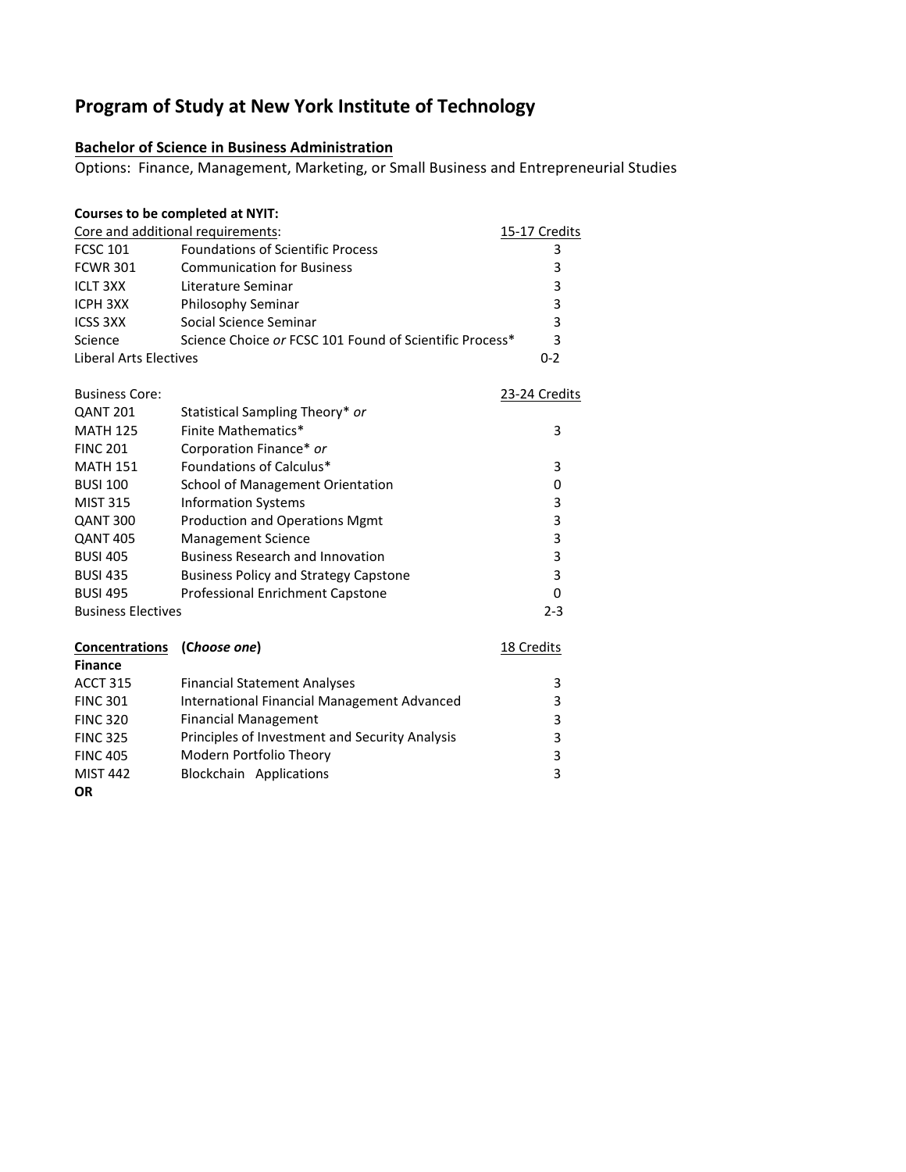### **Program of Study at New York Institute of Technology**

### **Bachelor of Science in Business Administration**

Options: Finance, Management, Marketing, or Small Business and Entrepreneurial Studies

| Courses to be completed at NYIT:                          |                                                         |               |  |  |
|-----------------------------------------------------------|---------------------------------------------------------|---------------|--|--|
| Core and additional requirements:<br><u>15-17 Credits</u> |                                                         |               |  |  |
| <b>FCSC 101</b>                                           | <b>Foundations of Scientific Process</b>                | 3             |  |  |
| <b>FCWR 301</b>                                           | <b>Communication for Business</b>                       | 3             |  |  |
| <b>ICLT 3XX</b>                                           | Literature Seminar                                      | 3             |  |  |
| <b>ICPH 3XX</b>                                           | Philosophy Seminar                                      | 3             |  |  |
| <b>ICSS 3XX</b>                                           | Social Science Seminar                                  | 3             |  |  |
| Science                                                   | Science Choice or FCSC 101 Found of Scientific Process* | 3             |  |  |
| <b>Liberal Arts Electives</b>                             |                                                         | $0 - 2$       |  |  |
| <b>Business Core:</b>                                     |                                                         | 23-24 Credits |  |  |
| <b>QANT 201</b>                                           | Statistical Sampling Theory* or                         |               |  |  |
| <b>MATH 125</b>                                           | Finite Mathematics*                                     | 3             |  |  |
| <b>FINC 201</b>                                           | Corporation Finance* or                                 |               |  |  |
| <b>MATH 151</b>                                           | Foundations of Calculus*                                | 3             |  |  |
| <b>BUSI 100</b>                                           | School of Management Orientation                        | 0             |  |  |
| <b>MIST 315</b>                                           | <b>Information Systems</b>                              | 3             |  |  |
| QANT 300                                                  | <b>Production and Operations Mgmt</b>                   | 3             |  |  |
| <b>QANT 405</b>                                           | <b>Management Science</b>                               | 3             |  |  |
| <b>BUSI 405</b>                                           | <b>Business Research and Innovation</b>                 | 3             |  |  |
| <b>BUSI 435</b>                                           | <b>Business Policy and Strategy Capstone</b>            | 3             |  |  |
| <b>BUSI 495</b>                                           | Professional Enrichment Capstone                        | 0             |  |  |
| <b>Business Electives</b>                                 |                                                         |               |  |  |
| <b>Concentrations</b>                                     | (Choose one)                                            | 18 Credits    |  |  |
| <b>Finance</b>                                            |                                                         |               |  |  |
| <b>ACCT 315</b>                                           | <b>Financial Statement Analyses</b>                     | 3             |  |  |
| <b>FINC 301</b>                                           | International Financial Management Advanced             | 3             |  |  |
| <b>FINC 320</b>                                           | <b>Financial Management</b>                             | 3             |  |  |
| <b>FINC 325</b>                                           | Principles of Investment and Security Analysis          | 3             |  |  |
| <b>FINC 405</b>                                           | Modern Portfolio Theory                                 | 3             |  |  |
| <b>MIST 442</b>                                           | <b>Blockchain Applications</b>                          | 3             |  |  |

**OR**